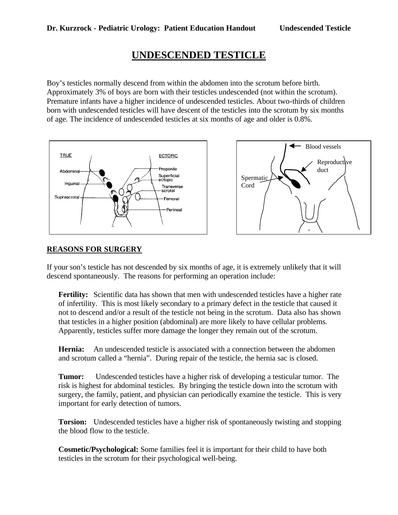# **UNDESCENDED TESTICLE**

Boy's testicles normally descend from within the abdomen into the scrotum before birth. Approximately 3% of boys are born with their testicles undescended (not within the scrotum). Premature infants have a higher incidence of undescended testicles. About two-thirds of children born with undescended testicles will have descent of the testicles into the scrotum by six months of age. The incidence of undescended testicles at six months of age and older is 0.8%.





## **REASONS FOR SURGERY**

If your son's testicle has not descended by six months of age, it is extremely unlikely that it will descend spontaneously. The reasons for performing an operation include:

Fertility: Scientific data has shown that men with undescended testicles have a higher rate of infertility. This is most likely secondary to a primary defect in the testicle that caused it not to descend and/or a result of the testicle not being in the scrotum. Data also has shown that testicles in a higher position (abdominal) are more likely to have cellular problems. Apparently, testicles suffer more damage the longer they remain out of the scrotum.

**Hernia:** An undescended testicle is associated with a connection between the abdomen and scrotum called a "hernia". During repair of the testicle, the hernia sac is closed.

**Tumor:** Undescended testicles have a higher risk of developing a testicular tumor. The risk is highest for abdominal testicles. By bringing the testicle down into the scrotum with surgery, the family, patient, and physician can periodically examine the testicle. This is very important for early detection of tumors.

**Torsion:** Undescended testicles have a higher risk of spontaneously twisting and stopping the blood flow to the testicle.

**Cosmetic/Psychological:** Some families feel it is important for their child to have both testicles in the scrotum for their psychological well-being.